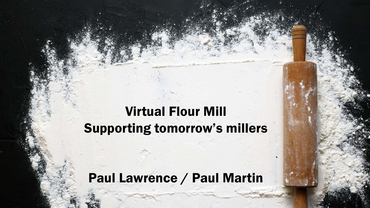## Virtual Flour Mill Supporting tomorrow's millers

Virtual Mill

Supporting Tomorrows Millers

Paul Lawrence / Paul Martin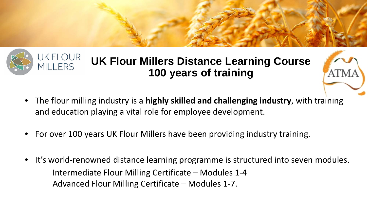### JK FLOUR **UK Flour Millers Distance Learning Course MILLERS 100 years of training**

- The flour milling industry is a **highly skilled and challenging industry**, with training and education playing a vital role for employee development.
- For over 100 years UK Flour Millers have been providing industry training.
- It's world-renowned distance learning programme is structured into seven modules. Intermediate Flour Milling Certificate – Modules 1-4 Advanced Flour Milling Certificate – Modules 1-7.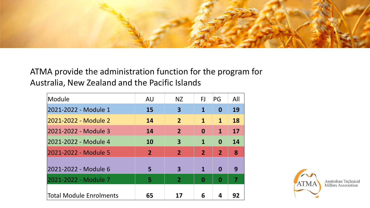

ATMA provide the administration function for the program for Australia, New Zealand and the Pacific Islands

| Module                  | AU             | <b>NZ</b>      | FJ             | PG             | All |
|-------------------------|----------------|----------------|----------------|----------------|-----|
| 2021-2022 - Module 1    | 15             | 3              | 1              | 0              | 19  |
| 2021-2022 - Module 2    | 14             | $\overline{2}$ | $\mathbf{1}$   | $\mathbf{1}$   | 18  |
| 2021-2022 - Module 3    | 14             | $\overline{2}$ | $\bf{0}$       | $\mathbf{1}$   | 17  |
| 2021-2022 - Module 4    | 10             | 3              | $\mathbf 1$    | $\bf{0}$       | 14  |
| 2021-2022 - Module 5    | $\overline{2}$ | $\overline{2}$ | $\overline{2}$ | $\overline{2}$ | 8   |
| 2021-2022 - Module 6    | 5              | 3              | 1              | $\bf{0}$       | 9   |
| 2021-2022 - Module 7    | 5              | $\overline{2}$ | $\bf{0}$       | 0              |     |
| Total Module Enrolments | 65             | 17             | 6              | 4              | 92  |



Australian Technical<br>Millers Association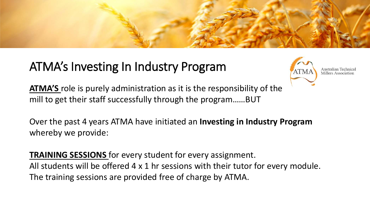## ATMA's Investing In Industry Program



Australian Tec Millers Association

**ATMA'S** role is purely administration as it is the responsibility of the mill to get their staff successfully through the program……BUT

Over the past 4 years ATMA have initiated an **Investing in Industry Program**  whereby we provide:

**TRAINING SESSIONS** for every student for every assignment. All students will be offered 4 x 1 hr sessions with their tutor for every module. The training sessions are provided free of charge by ATMA.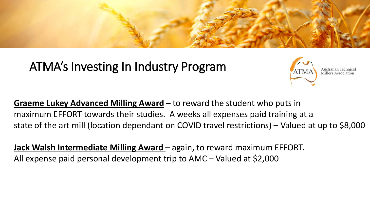## ATMA's Investing In Industry Program



Australian Tech Millers Association

**Graeme Lukey Advanced Milling Award** – to reward the student who puts in maximum EFFORT towards their studies. A weeks all expenses paid training at a state of the art mill (location dependant on COVID travel restrictions) – Valued at up to \$8,000

**Jack Walsh Intermediate Milling Award** – again, to reward maximum EFFORT. All expense paid personal development trip to AMC – Valued at \$2,000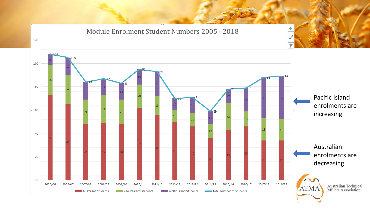Module Enrolment Student Numbers 2005 - 2018



÷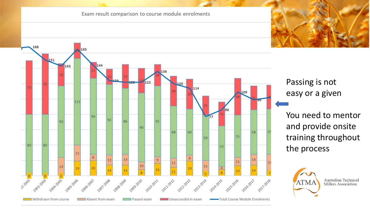#### Exam result comparison to course module enrolments



Passing is not easy or a given

You need to mentor and provide onsite training throughout the process



Australian Technical **Millers Association**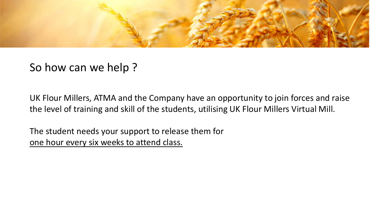

### So how can we help ?

UK Flour Millers, ATMA and the Company have an opportunity to join forces and raise the level of training and skill of the students, utilising UK Flour Millers Virtual Mill.

The student needs your support to release them for one hour every six weeks to attend class.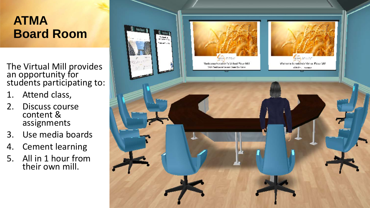### **ATMA Board Room**

The Virtual Mill provides an opportunity for students participating to:

- 1. Attend class,
- 2. Discuss course content & assignments
- 3. Use media boards
- 4. Cement learning
- 5. All in 1 hour from their own mill.

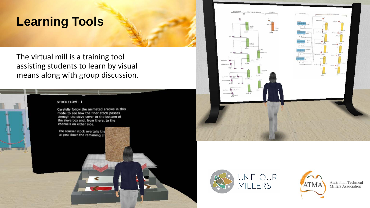### **Learning Tools**

The virtual mill is a training tool assisting students to learn by visual means along with group discussion.

#### STOCK FLOW - 1

12111111

1800101

Carefully follow the animated arrows in this model to see how the finer stock passes through the sieve cover to the bottom of the sieve box and, from there, to the channels on either side.

The coarser stock overtails the to pass down the remaining ch







Australian Technical Millers Association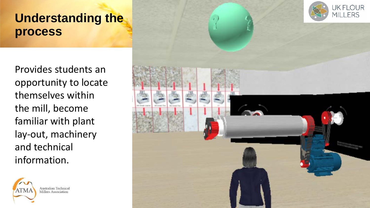### **Understanding the process**

Provides students an opportunity to locate themselves within the mill, become familiar with plant lay-out, machinery and technical information.



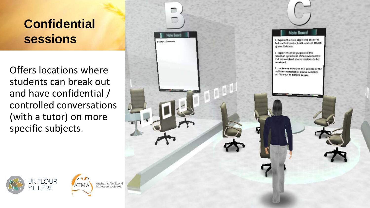## **Confidential sessions**

Offers locations where students can break out and have confidential / controlled conversations (with a tutor) on more specific subjects.

**ATMA** 

**JK FLOUR** 

**MILLERS** 

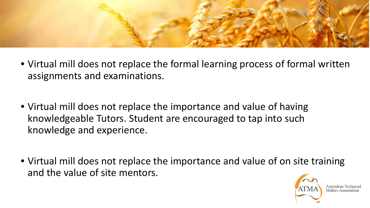

- Virtual mill does not replace the formal learning process of formal written assignments and examinations.
- Virtual mill does not replace the importance and value of having knowledgeable Tutors. Student are encouraged to tap into such knowledge and experience.
- Virtual mill does not replace the importance and value of on site training and the value of site mentors.



Millers Associat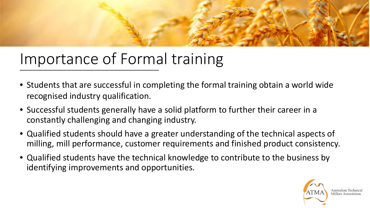

## Importance of Formal training

- Students that are successful in completing the formal training obtain a world wide recognised industry qualification.
- Successful students generally have a solid platform to further their career in a constantly challenging and changing industry.
- Qualified students should have a greater understanding of the technical aspects of milling, mill performance, customer requirements and finished product consistency.
- Qualified students have the technical knowledge to contribute to the business by identifying improvements and opportunities.

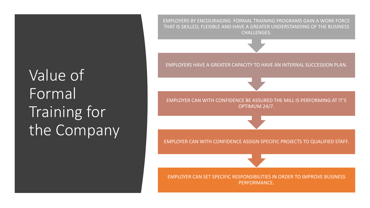# Value of Formal Training for the Company

EMPLOYERS BY ENCOURAGING FORMAL TRAINING PROGRAMS GAIN A WORK FORCE THAT IS SKILLED, FLEXIBLE AND HAVE A GREATER UNDERSTANDING OF THE BUSINESS CHALLENGES.

EMPLOYERS HAVE A GREATER CAPACITY TO HAVE AN INTERNAL SUCCESSION PLAN.

EMPLOYER CAN WITH CONFIDENCE BE ASSURED THE MILL IS PERFORMING AT IT'S OPTIMUM 24/7.

EMPLOYER CAN WITH CONFIDENCE ASSIGN SPECIFIC PROJECTS TO QUALIFIED STAFF.

EMPLOYER CAN SET SPECIFIC RESPONSIBILITIES IN ORDER TO IMPROVE BUSINESS PERFORMANCE.